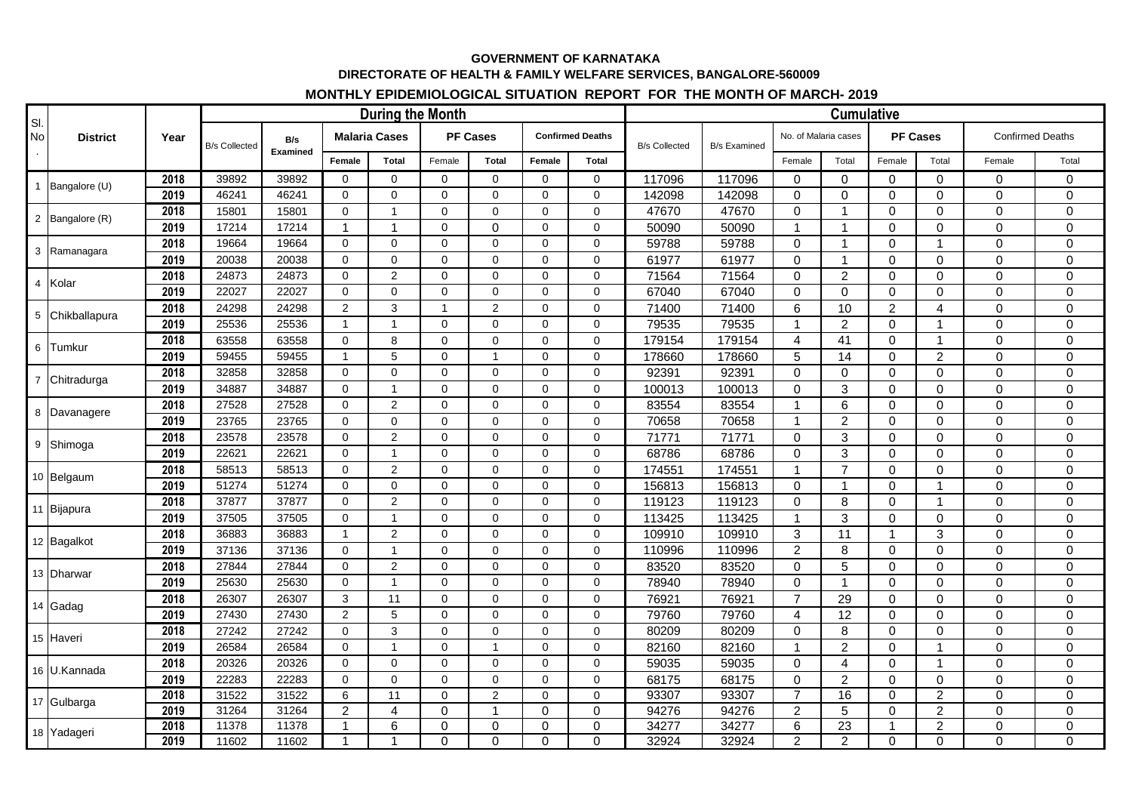## **GOVERNMENT OF KARNATAKA DIRECTORATE OF HEALTH & FAMILY WELFARE SERVICES, BANGALORE-560009**

## **MONTHLY EPIDEMIOLOGICAL SITUATION REPORT FOR THE MONTH OF MARCH- 2019**

| SI.       | <b>District</b> | Year | <b>During the Month</b> |                 |                      |                |                 |                |                         |             |                      | <b>Cumulative</b>   |                      |                |                     |                |                         |             |  |
|-----------|-----------------|------|-------------------------|-----------------|----------------------|----------------|-----------------|----------------|-------------------------|-------------|----------------------|---------------------|----------------------|----------------|---------------------|----------------|-------------------------|-------------|--|
| <b>No</b> |                 |      | <b>B/s Collected</b>    | B/s<br>Examined | <b>Malaria Cases</b> |                | <b>PF Cases</b> |                | <b>Confirmed Deaths</b> |             | <b>B/s Collected</b> | <b>B/s Examined</b> | No. of Malaria cases |                | <b>PF Cases</b>     |                | <b>Confirmed Deaths</b> |             |  |
|           |                 |      |                         |                 | Female               | Total          | Female          | Total          | Female                  | Total       |                      |                     | Female               | Total          | Female              | Total          | Female                  | Total       |  |
|           | 1 Bangalore (U) | 2018 | 39892                   | 39892           | $\Omega$             | $\Omega$       | $\Omega$        | $\Omega$       | $\Omega$                | $\Omega$    | 117096               | 117096              | $\Omega$             | $\Omega$       | $\mathbf 0$         | $\Omega$       | $\mathbf 0$             | 0           |  |
|           |                 | 2019 | 46241                   | 46241           | $\mathbf 0$          | $\mathbf 0$    | $\mathbf 0$     | $\mathbf 0$    | $\mathbf 0$             | $\mathbf 0$ | 142098               | 142098              | 0                    | $\mathbf 0$    | $\pmb{0}$           | $\mathbf 0$    | $\mathbf 0$             | $\mathbf 0$ |  |
|           | 2 Bangalore (R) | 2018 | 15801                   | 15801           | $\mathbf 0$          | $\mathbf{1}$   | $\Omega$        | $\mathbf 0$    | $\Omega$                | $\Omega$    | 47670                | 47670               | $\Omega$             | $\overline{1}$ | $\mathbf 0$         | $\Omega$       | $\mathbf 0$             | $\mathbf 0$ |  |
|           |                 | 2019 | 17214                   | 17214           | $\mathbf{1}$         | $\mathbf{1}$   | $\Omega$        | $\mathbf 0$    | $\Omega$                | $\Omega$    | 50090                | 50090               | $\mathbf{1}$         | $\mathbf{1}$   | $\mathbf 0$         | $\Omega$       | $\mathbf 0$             | $\Omega$    |  |
|           | 3 Ramanagara    | 2018 | 19664                   | 19664           | $\mathbf 0$          | $\mathbf 0$    | $\mathbf 0$     | $\Omega$       | $\mathbf 0$             | $\mathbf 0$ | 59788                | 59788               | $\Omega$             | $\mathbf{1}$   | $\mathbf 0$         | $\overline{1}$ | $\mathbf 0$             | $\mathbf 0$ |  |
|           |                 | 2019 | 20038                   | 20038           | $\mathbf 0$          | $\Omega$       | $\mathbf 0$     | $\mathbf 0$    | $\mathbf 0$             | $\Omega$    | 61977                | 61977               | $\Omega$             | $\mathbf{1}$   | $\mathbf 0$         | $\mathbf 0$    | 0                       | $\mathbf 0$ |  |
|           | 4 Kolar         | 2018 | 24873                   | 24873           | $\mathbf 0$          | 2              | $\mathbf 0$     | $\Omega$       | $\mathbf 0$             | $\Omega$    | 71564                | 71564               | $\Omega$             | $\overline{2}$ | $\mathbf 0$         | $\Omega$       | $\mathbf 0$             | $\mathbf 0$ |  |
|           |                 | 2019 | 22027                   | 22027           | $\mathbf 0$          | $\mathbf 0$    | $\mathbf 0$     | $\mathbf 0$    | $\mathbf 0$             | $\mathbf 0$ | 67040                | 67040               | $\Omega$             | $\mathbf{0}$   | $\mathbf 0$         | $\mathbf 0$    | $\mathbf 0$             | $\mathbf 0$ |  |
|           | 5 Chikballapura | 2018 | 24298                   | 24298           | $\overline{2}$       | 3              | $\mathbf{1}$    | $\overline{2}$ | $\mathbf 0$             | $\mathbf 0$ | 71400                | 71400               | 6                    | 10             | $\overline{2}$      | 4              | $\mathbf 0$             | $\mathbf 0$ |  |
|           |                 | 2019 | 25536                   | 25536           | $\mathbf{1}$         | $\overline{1}$ | $\Omega$        | $\Omega$       | $\Omega$                | $\Omega$    | 79535                | 79535               | 1                    | $\overline{2}$ | $\Omega$            | -1             | $\overline{0}$          | $\mathbf 0$ |  |
|           | 6 Tumkur        | 2018 | 63558                   | 63558           | $\Omega$             | 8              | $\Omega$        | $\Omega$       | $\Omega$                | $\Omega$    | 179154               | 179154              | $\overline{4}$       | 41             | $\mathbf 0$         | $\overline{1}$ | $\mathbf 0$             | $\mathbf 0$ |  |
|           |                 | 2019 | 59455                   | 59455           | $\mathbf{1}$         | 5              | $\mathbf 0$     | $\overline{1}$ | $\mathbf 0$             | $\mathbf 0$ | 178660               | 178660              | 5                    | 14             | $\mathbf 0$         | $\overline{2}$ | $\mathbf 0$             | $\mathbf 0$ |  |
|           | 7 Chitradurga   | 2018 | 32858                   | 32858           | $\mathbf 0$          | $\Omega$       | $\mathbf 0$     | $\mathbf 0$    | $\mathbf 0$             | $\Omega$    | 92391                | 92391               | $\Omega$             | $\Omega$       | $\mathbf 0$         | $\Omega$       | 0                       | $\mathbf 0$ |  |
|           |                 | 2019 | 34887                   | 34887           | $\mathbf 0$          | $\overline{1}$ | $\Omega$        | $\Omega$       | $\Omega$                | $\Omega$    | 100013               | 100013              | $\Omega$             | 3              | $\mathsf 0$         | $\Omega$       | $\Omega$                | $\Omega$    |  |
|           | 8 Davanagere    | 2018 | 27528                   | 27528           | $\mathbf 0$          | $\overline{2}$ | $\Omega$        | $\mathbf 0$    | $\mathbf 0$             | $\Omega$    | 83554                | 83554               | -1                   | 6              | $\mathbf 0$         | $\Omega$       | $\mathbf 0$             | $\mathbf 0$ |  |
|           |                 | 2019 | 23765                   | 23765           | $\mathbf 0$          | $\mathbf 0$    | $\mathbf 0$     | $\mathbf 0$    | $\mathbf 0$             | $\mathbf 0$ | 70658                | 70658               | $\mathbf{1}$         | $\overline{2}$ | $\mathbf 0$         | $\Omega$       | $\mathbf 0$             | $\mathbf 0$ |  |
|           | 9 Shimoga       | 2018 | 23578                   | 23578           | $\mathbf 0$          | $\overline{2}$ | $\Omega$        | $\Omega$       | $\Omega$                | $\Omega$    | 71771                | 71771               | $\Omega$             | 3              | $\Omega$            | $\Omega$       | $\mathbf 0$             | $\mathbf 0$ |  |
|           |                 | 2019 | 22621                   | 22621           | $\mathsf{O}\xspace$  | $\overline{1}$ | $\mathbf 0$     | $\pmb{0}$      | $\mathbf 0$             | $\mathbf 0$ | 68786                | 68786               | $\Omega$             | 3              | $\pmb{0}$           | $\mathbf 0$    | $\mathbf 0$             | $\mathbf 0$ |  |
|           | 10 Belgaum      | 2018 | 58513                   | 58513           | $\mathbf 0$          | $\overline{2}$ | $\mathbf 0$     | $\Omega$       | $\mathbf 0$             | $\Omega$    | 174551               | 174551              | $\mathbf{1}$         | $\overline{7}$ | $\mathbf 0$         | $\Omega$       | $\mathbf 0$             | $\mathbf 0$ |  |
|           |                 | 2019 | 51274                   | 51274           | $\mathbf 0$          | $\Omega$       | $\Omega$        | $\mathbf 0$    | $\mathbf 0$             | $\Omega$    | 156813               | 156813              | $\Omega$             | $\mathbf{1}$   | $\mathbf 0$         | $\overline{1}$ | $\mathbf 0$             | $\mathbf 0$ |  |
|           | 11 Bijapura     | 2018 | 37877                   | 37877           | $\Omega$             | $\overline{c}$ | $\Omega$        | $\Omega$       | $\Omega$                | $\Omega$    | 119123               | 119123              | $\Omega$             | 8              | $\mathsf 0$         | $\overline{1}$ | $\mathbf 0$             | $\mathbf 0$ |  |
|           |                 | 2019 | 37505                   | 37505           | $\mathbf 0$          | $\mathbf 1$    | $\Omega$        | $\mathbf 0$    | $\mathbf 0$             | $\Omega$    | 113425               | 113425              | 1                    | 3              | $\mathbf 0$         | $\Omega$       | $\mathbf 0$             | $\mathbf 0$ |  |
|           | 12 Bagalkot     | 2018 | 36883                   | 36883           | $\mathbf{1}$         | $\overline{2}$ | $\mathbf 0$     | $\mathbf 0$    | $\Omega$                | $\mathbf 0$ | 109910               | 109910              | 3                    | 11             | $\mathbf{1}$        | 3              | $\mathbf 0$             | $\mathbf 0$ |  |
|           |                 | 2019 | 37136                   | 37136           | $\Omega$             | $\overline{1}$ | $\Omega$        | $\Omega$       | $\Omega$                | $\Omega$    | 110996               | 110996              | $\overline{c}$       | 8              | $\Omega$            | $\Omega$       | $\mathbf{0}$            | $\Omega$    |  |
|           | 13 Dharwar      | 2018 | 27844                   | 27844           | $\mathbf 0$          | $\overline{c}$ | $\mathbf 0$     | $\pmb{0}$      | $\mathbf 0$             | $\mathbf 0$ | 83520                | 83520               | $\Omega$             | 5              | $\mathbf 0$         | $\mathbf 0$    | $\mathbf 0$             | $\mathbf 0$ |  |
|           |                 | 2019 | 25630                   | 25630           | $\mathbf 0$          | $\mathbf{1}$   | $\mathbf 0$     | $\mathbf 0$    | $\mathbf 0$             | $\Omega$    | 78940                | 78940               | $\Omega$             | $\mathbf{1}$   | $\mathbf 0$         | $\Omega$       | 0                       | $\mathbf 0$ |  |
|           | 14 Gadag        | 2018 | 26307                   | 26307           | 3                    | 11             | $\mathbf 0$     | $\mathbf 0$    | $\mathbf 0$             | $\Omega$    | 76921                | 76921               | $\overline{7}$       | 29             | $\mathbf 0$         | $\Omega$       | $\mathbf 0$             | $\mathbf 0$ |  |
|           |                 | 2019 | 27430                   | 27430           | $\overline{2}$       | 5              | $\mathbf 0$     | $\mathbf 0$    | $\mathbf 0$             | $\Omega$    | 79760                | 79760               | 4                    | 12             | $\mathsf{O}\xspace$ | $\mathbf 0$    | $\mathbf 0$             | $\mathbf 0$ |  |
|           | 15 Haveri       | 2018 | 27242                   | 27242           | $\mathbf 0$          | 3              | $\mathbf 0$     | $\mathbf 0$    | $\mathbf 0$             | $\Omega$    | 80209                | 80209               | $\Omega$             | 8              | $\mathbf 0$         | $\Omega$       | $\mathbf 0$             | $\mathbf 0$ |  |
|           |                 | 2019 | 26584                   | 26584           | $\mathbf 0$          | $\overline{1}$ | $\Omega$        | $\overline{1}$ | $\mathbf 0$             | $\Omega$    | 82160                | 82160               | $\overline{1}$       | $\overline{2}$ | $\mathbf 0$         | $\overline{1}$ | $\mathbf 0$             | $\Omega$    |  |
|           | 16 U.Kannada    | 2018 | 20326                   | 20326           | $\Omega$             | $\Omega$       | $\Omega$        | $\Omega$       | $\Omega$                | $\Omega$    | 59035                | 59035               | $\Omega$             | $\overline{4}$ | $\mathbf 0$         | $\overline{1}$ | $\mathbf 0$             | $\mathbf 0$ |  |
|           |                 | 2019 | 22283                   | 22283           | $\mathbf 0$          | $\mathbf 0$    | $\mathbf 0$     | $\pmb{0}$      | $\mathbf 0$             | $\mathbf 0$ | 68175                | 68175               | $\Omega$             | $\overline{2}$ | $\mathbf 0$         | $\mathbf 0$    | $\mathbf 0$             | $\mathbf 0$ |  |
|           | 17 Gulbarga     | 2018 | 31522                   | 31522           | 6                    | 11             | $\mathbf 0$     | $\overline{c}$ | $\mathbf 0$             | $\mathbf 0$ | 93307                | 93307               | $\overline{7}$       | 16             | $\mathbf 0$         | $\overline{2}$ | $\mathbf 0$             | $\mathbf 0$ |  |
|           |                 | 2019 | 31264                   | 31264           | $\overline{2}$       | 4              | $\Omega$        | 1              | 0                       | $\Omega$    | 94276                | 94276               | $\overline{2}$       | 5              | $\mathbf 0$         | $\overline{2}$ | $\mathbf 0$             | $\mathbf 0$ |  |
|           | 18 Yadageri     | 2018 | 11378                   | 11378           | $\mathbf{1}$         | 6              | 0               | $\pmb{0}$      | 0                       | $\mathbf 0$ | 34277                | 34277               | 6                    | 23             | $\mathbf{1}$        | $\overline{2}$ | $\mathbf 0$             | $\pmb{0}$   |  |
|           |                 | 2019 | 11602                   | 11602           | $\mathbf{1}$         | 1              | $\Omega$        | $\mathbf 0$    | $\mathbf 0$             | $\Omega$    | 32924                | 32924               | $\overline{2}$       | $\overline{2}$ | $\mathbf 0$         | 0              | $\mathbf 0$             | 0           |  |